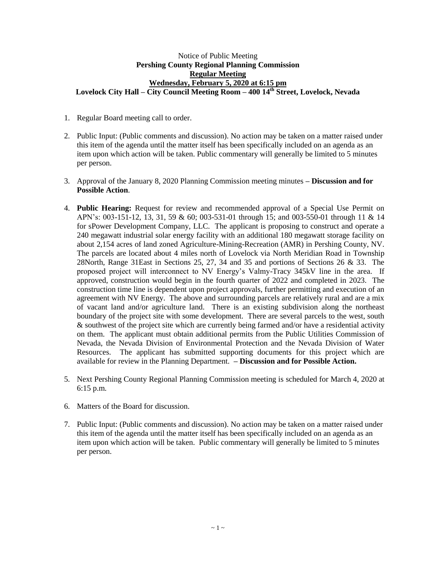## Notice of Public Meeting **Pershing County Regional Planning Commission Regular Meeting Wednesday, February 5, 2020 at 6:15 pm Lovelock City Hall – City Council Meeting Room – 400 14th Street, Lovelock, Nevada**

- 1. Regular Board meeting call to order.
- 2. Public Input: (Public comments and discussion). No action may be taken on a matter raised under this item of the agenda until the matter itself has been specifically included on an agenda as an item upon which action will be taken. Public commentary will generally be limited to 5 minutes per person.
- 3. Approval of the January 8, 2020 Planning Commission meeting minutes **– Discussion and for Possible Action**.
- 4. **Public Hearing:** Request for review and recommended approval of a Special Use Permit on APN's: 003-151-12, 13, 31, 59 & 60; 003-531-01 through 15; and 003-550-01 through 11 & 14 for sPower Development Company, LLC. The applicant is proposing to construct and operate a 240 megawatt industrial solar energy facility with an additional 180 megawatt storage facility on about 2,154 acres of land zoned Agriculture-Mining-Recreation (AMR) in Pershing County, NV. The parcels are located about 4 miles north of Lovelock via North Meridian Road in Township 28North, Range 31East in Sections 25, 27, 34 and 35 and portions of Sections 26 & 33. The proposed project will interconnect to NV Energy's Valmy-Tracy 345kV line in the area. If approved, construction would begin in the fourth quarter of 2022 and completed in 2023. The construction time line is dependent upon project approvals, further permitting and execution of an agreement with NV Energy. The above and surrounding parcels are relatively rural and are a mix of vacant land and/or agriculture land. There is an existing subdivision along the northeast boundary of the project site with some development. There are several parcels to the west, south & southwest of the project site which are currently being farmed and/or have a residential activity on them. The applicant must obtain additional permits from the Public Utilities Commission of Nevada, the Nevada Division of Environmental Protection and the Nevada Division of Water Resources. The applicant has submitted supporting documents for this project which are available for review in the Planning Department. **– Discussion and for Possible Action.**
- 5. Next Pershing County Regional Planning Commission meeting is scheduled for March 4, 2020 at 6:15 p.m.
- 6. Matters of the Board for discussion.
- 7. Public Input: (Public comments and discussion). No action may be taken on a matter raised under this item of the agenda until the matter itself has been specifically included on an agenda as an item upon which action will be taken. Public commentary will generally be limited to 5 minutes per person.